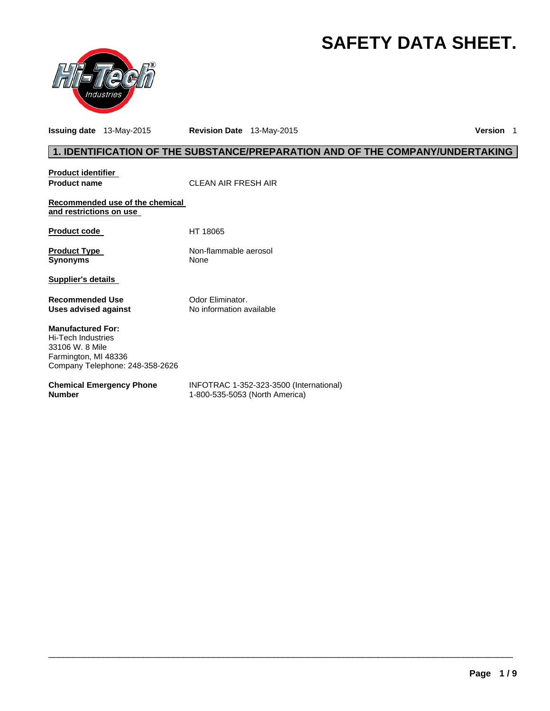# **SAFETY DATA SHEET.**



**Issuing date** 13-May-2015 **Revision Date** 13-May-2015 **Version** 1

# **1. IDENTIFICATION OF THE SUBSTANCE/PREPARATION AND OF THE COMPANY/UNDERTAKING**

| <b>Product identifier</b><br><b>Product name</b>                                                                                    | CLEAN AIR FRESH AIR                                                       |
|-------------------------------------------------------------------------------------------------------------------------------------|---------------------------------------------------------------------------|
| Recommended use of the chemical<br>and restrictions on use                                                                          |                                                                           |
| <b>Product code</b>                                                                                                                 | HT 18065                                                                  |
| <b>Product Type</b><br><b>Synonyms</b>                                                                                              | Non-flammable aerosol<br><b>None</b>                                      |
| Supplier's details                                                                                                                  |                                                                           |
| Recommended Use<br>Uses advised against                                                                                             | Odor Eliminator.<br>No information available                              |
| <b>Manufactured For:</b><br><b>Hi-Tech Industries</b><br>33106 W. 8 Mile<br>Farmington, MI 48336<br>Company Telephone: 248-358-2626 |                                                                           |
| <b>Chemical Emergency Phone</b><br><b>Number</b>                                                                                    | INFOTRAC 1-352-323-3500 (International)<br>1-800-535-5053 (North America) |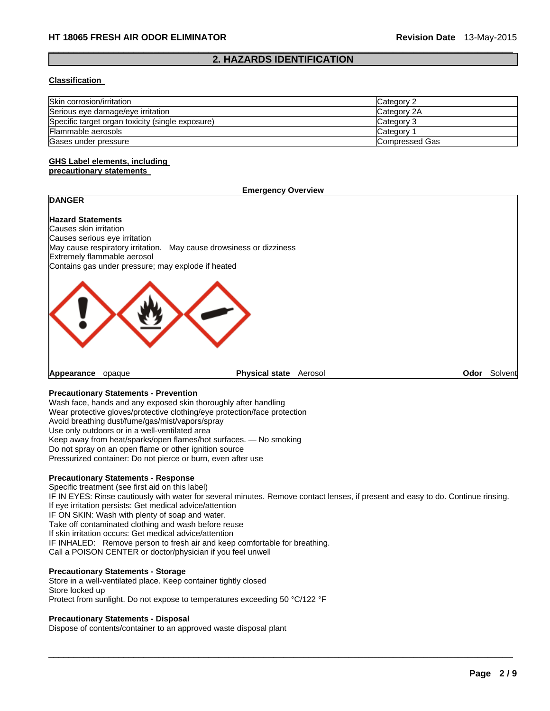#### $\Box$ **2. HAZARDS IDENTIFICATION**

#### **Classification**

| Skin corrosion/irritation                        | Category 2     |
|--------------------------------------------------|----------------|
| Serious eye damage/eye irritation                | Category 2A    |
| Specific target organ toxicity (single exposure) | Category 3     |
| Flammable aerosols                               | Category 1     |
| Gases under pressure                             | Compressed Gas |

#### **GHS Label elements, including precautionary statements**

#### **Emergency Overview**

# **Hazard Statements**

**DANGER** 

Causes skin irritation Causes serious eye irritation May cause respiratory irritation. May cause drowsiness or dizziness Extremely flammable aerosol Contains gas under pressure; may explode if heated



**Appearance** opaque **Physical state** Aerosol **Odor** Solvent

### **Precautionary Statements - Prevention**

Wash face, hands and any exposed skin thoroughly after handling Wear protective gloves/protective clothing/eye protection/face protection Avoid breathing dust/fume/gas/mist/vapors/spray Use only outdoors or in a well-ventilated area Keep away from heat/sparks/open flames/hot surfaces. — No smoking Do not spray on an open flame or other ignition source Pressurized container: Do not pierce or burn, even after use

#### **Precautionary Statements - Response**

Specific treatment (see first aid on this label) IF IN EYES: Rinse cautiously with water for several minutes. Remove contact lenses, if present and easy to do. Continue rinsing. If eye irritation persists: Get medical advice/attention IF ON SKIN: Wash with plenty of soap and water. Take off contaminated clothing and wash before reuse If skin irritation occurs: Get medical advice/attention IF INHALED: Remove person to fresh air and keep comfortable for breathing. Call a POISON CENTER or doctor/physician if you feel unwell

 $\Box$ 

### **Precautionary Statements - Storage**

Store in a well-ventilated place. Keep container tightly closed Store locked up Protect from sunlight. Do not expose to temperatures exceeding 50 °C/122 °F

#### **Precautionary Statements - Disposal**

Dispose of contents/container to an approved waste disposal plant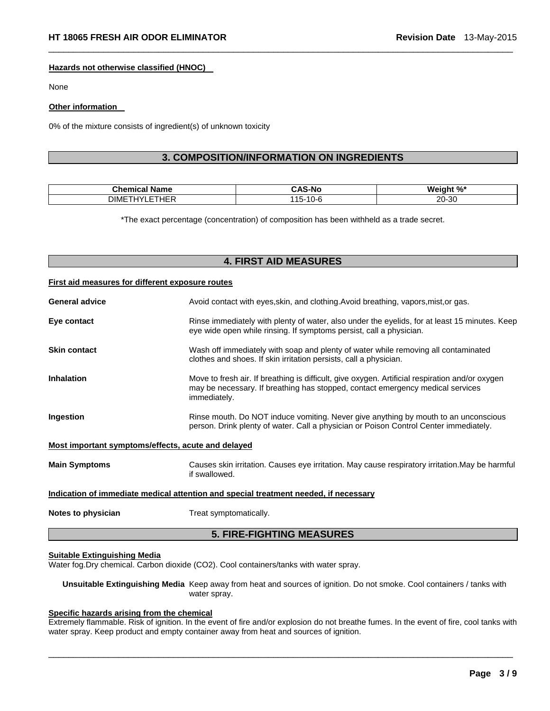#### **Hazards not otherwise classified (HNOC)**

None

#### **Other information**

0% of the mixture consists of ingredient(s) of unknown toxicity

# **3. COMPOSITION/INFORMATION ON INGREDIENTS**

 $\Box$ 

| $\sim$ $\sim$ $\sim$<br>-ne | -N.<br>______                    | w                                  |
|-----------------------------|----------------------------------|------------------------------------|
| $\cdot$ $ -$<br>ገIMF        | $\sim$ $\sim$<br>.<br>. .<br>. . | $\Omega$<br>20.<br>ט-י<br>ZU.<br>. |

\*The exact percentage (concentration) of composition has been withheld as a trade secret.

# **4. FIRST AID MEASURES**

#### **First aid measures for different exposure routes**

|                                                    | <b>5. FIRE-FIGHTING MEASURES</b>                                                                                                                                                                  |
|----------------------------------------------------|---------------------------------------------------------------------------------------------------------------------------------------------------------------------------------------------------|
| Notes to physician                                 | Treat symptomatically.                                                                                                                                                                            |
|                                                    | Indication of immediate medical attention and special treatment needed, if necessary                                                                                                              |
| <b>Main Symptoms</b>                               | Causes skin irritation. Causes eye irritation. May cause respiratory irritation. May be harmful<br>if swallowed.                                                                                  |
| Most important symptoms/effects, acute and delayed |                                                                                                                                                                                                   |
| Ingestion                                          | Rinse mouth. Do NOT induce vomiting. Never give anything by mouth to an unconscious<br>person. Drink plenty of water. Call a physician or Poison Control Center immediately.                      |
| <b>Inhalation</b>                                  | Move to fresh air. If breathing is difficult, give oxygen. Artificial respiration and/or oxygen<br>may be necessary. If breathing has stopped, contact emergency medical services<br>immediately. |
| <b>Skin contact</b>                                | Wash off immediately with soap and plenty of water while removing all contaminated<br>clothes and shoes. If skin irritation persists, call a physician.                                           |
| Eye contact                                        | Rinse immediately with plenty of water, also under the eyelids, for at least 15 minutes. Keep<br>eye wide open while rinsing. If symptoms persist, call a physician.                              |
| <b>General advice</b>                              | Avoid contact with eyes, skin, and clothing. Avoid breathing, vapors, mist, or gas.                                                                                                               |

#### **Suitable Extinguishing Media**

Water fog.Dry chemical. Carbon dioxide (CO2). Cool containers/tanks with water spray.

**Unsuitable Extinguishing Media** Keep away from heat and sources of ignition. Do not smoke. Cool containers / tanks with water spray.

### **Specific hazards arising from the chemical**

Extremely flammable. Risk of ignition. In the event of fire and/or explosion do not breathe fumes. In the event of fire, cool tanks with water spray. Keep product and empty container away from heat and sources of ignition.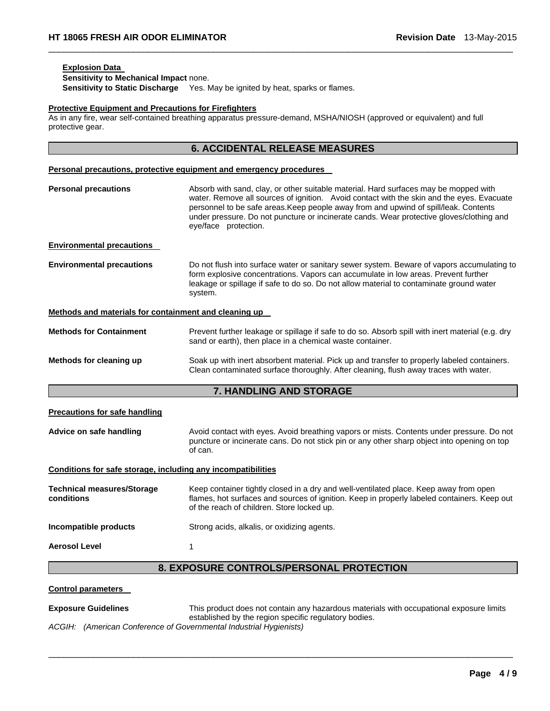#### **Explosion Data**

**Sensitivity to Mechanical Impact** none. **Sensitivity to Static Discharge** Yes. May be ignited by heat, sparks or flames.

#### **Protective Equipment and Precautions for Firefighters**

As in any fire, wear self-contained breathing apparatus pressure-demand, MSHA/NIOSH (approved or equivalent) and full protective gear.

 $\Box$ 

|                                                                                                                                                                                                                                                                                                                                                                                                                                                                                                                                                                  | <b>6. ACCIDENTAL RELEASE MEASURES</b>                                                                                                                                                                                                                                                                                                                                                         |
|------------------------------------------------------------------------------------------------------------------------------------------------------------------------------------------------------------------------------------------------------------------------------------------------------------------------------------------------------------------------------------------------------------------------------------------------------------------------------------------------------------------------------------------------------------------|-----------------------------------------------------------------------------------------------------------------------------------------------------------------------------------------------------------------------------------------------------------------------------------------------------------------------------------------------------------------------------------------------|
|                                                                                                                                                                                                                                                                                                                                                                                                                                                                                                                                                                  | Personal precautions, protective equipment and emergency procedures                                                                                                                                                                                                                                                                                                                           |
| <b>Personal precautions</b>                                                                                                                                                                                                                                                                                                                                                                                                                                                                                                                                      | Absorb with sand, clay, or other suitable material. Hard surfaces may be mopped with<br>water. Remove all sources of ignition. Avoid contact with the skin and the eyes. Evacuate<br>personnel to be safe areas. Keep people away from and upwind of spill/leak. Contents<br>under pressure. Do not puncture or incinerate cands. Wear protective gloves/clothing and<br>eye/face protection. |
| <b>Environmental precautions</b>                                                                                                                                                                                                                                                                                                                                                                                                                                                                                                                                 |                                                                                                                                                                                                                                                                                                                                                                                               |
| <b>Environmental precautions</b>                                                                                                                                                                                                                                                                                                                                                                                                                                                                                                                                 | Do not flush into surface water or sanitary sewer system. Beware of vapors accumulating to<br>form explosive concentrations. Vapors can accumulate in low areas. Prevent further<br>leakage or spillage if safe to do so. Do not allow material to contaminate ground water<br>system.                                                                                                        |
| Methods and materials for containment and cleaning up                                                                                                                                                                                                                                                                                                                                                                                                                                                                                                            |                                                                                                                                                                                                                                                                                                                                                                                               |
| <b>Methods for Containment</b>                                                                                                                                                                                                                                                                                                                                                                                                                                                                                                                                   | Prevent further leakage or spillage if safe to do so. Absorb spill with inert material (e.g. dry<br>sand or earth), then place in a chemical waste container.                                                                                                                                                                                                                                 |
| Methods for cleaning up                                                                                                                                                                                                                                                                                                                                                                                                                                                                                                                                          | Soak up with inert absorbent material. Pick up and transfer to properly labeled containers.<br>Clean contaminated surface thoroughly. After cleaning, flush away traces with water.                                                                                                                                                                                                           |
|                                                                                                                                                                                                                                                                                                                                                                                                                                                                                                                                                                  | 7. HANDLING AND STORAGE                                                                                                                                                                                                                                                                                                                                                                       |
| <b>Precautions for safe handling</b>                                                                                                                                                                                                                                                                                                                                                                                                                                                                                                                             |                                                                                                                                                                                                                                                                                                                                                                                               |
| Advice on safe handling<br>Avoid contact with eyes. Avoid breathing vapors or mists. Contents under pressure. Do not<br>puncture or incinerate cans. Do not stick pin or any other sharp object into opening on top<br>of can.<br>Conditions for safe storage, including any incompatibilities<br><b>Technical measures/Storage</b><br>Keep container tightly closed in a dry and well-ventilated place. Keep away from open<br>conditions<br>of the reach of children. Store locked up.<br>Incompatible products<br>Strong acids, alkalis, or oxidizing agents. |                                                                                                                                                                                                                                                                                                                                                                                               |
|                                                                                                                                                                                                                                                                                                                                                                                                                                                                                                                                                                  |                                                                                                                                                                                                                                                                                                                                                                                               |
|                                                                                                                                                                                                                                                                                                                                                                                                                                                                                                                                                                  | flames, hot surfaces and sources of ignition. Keep in properly labeled containers. Keep out                                                                                                                                                                                                                                                                                                   |
|                                                                                                                                                                                                                                                                                                                                                                                                                                                                                                                                                                  |                                                                                                                                                                                                                                                                                                                                                                                               |

**Aerosol Level** 1

# **8. EXPOSURE CONTROLS/PERSONAL PROTECTION**

 $\Box$ 

#### **Control parameters**

**Exposure Guidelines** This product does not contain any hazardous materials with occupational exposure limits established by the region specific regulatory bodies.

*ACGIH: (American Conference of Governmental Industrial Hygienists)*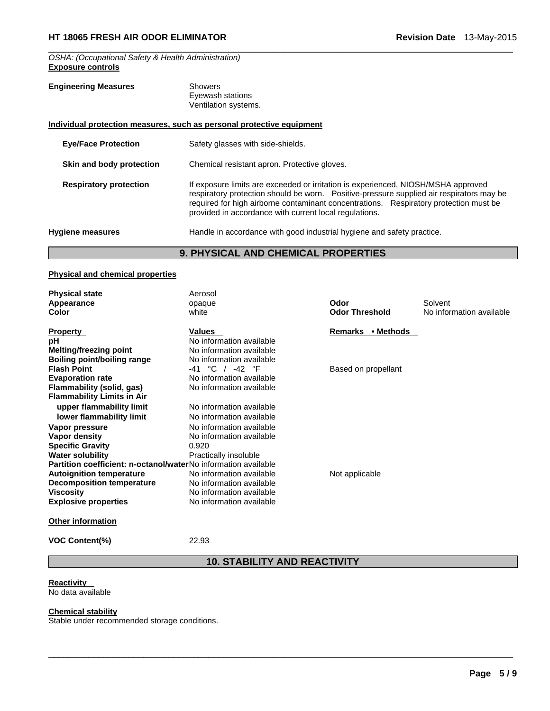*OSHA: (Occupational Safety & Health Administration)*  **Exposure controls** 

# **Engineering Measures Showers**

Eyewash stations Ventilation systems.

|                               | Individual protection measures, such as personal protective equipment                                                                                                                                                                                                                                                             |
|-------------------------------|-----------------------------------------------------------------------------------------------------------------------------------------------------------------------------------------------------------------------------------------------------------------------------------------------------------------------------------|
| <b>Eye/Face Protection</b>    | Safety glasses with side-shields.                                                                                                                                                                                                                                                                                                 |
| Skin and body protection      | Chemical resistant apron. Protective gloves.                                                                                                                                                                                                                                                                                      |
| <b>Respiratory protection</b> | If exposure limits are exceeded or irritation is experienced, NIOSH/MSHA approved<br>respiratory protection should be worn.  Positive-pressure supplied air respirators may be<br>required for high airborne contaminant concentrations. Respiratory protection must be<br>provided in accordance with current local regulations. |
| <b>Hygiene measures</b>       | Handle in accordance with good industrial hygiene and safety practice.                                                                                                                                                                                                                                                            |

 $\Box$ 

# **9. PHYSICAL AND CHEMICAL PROPERTIES**

# **Physical and chemical properties**

| <b>Physical state</b>                                                 | Aerosol                  |                       |                          |
|-----------------------------------------------------------------------|--------------------------|-----------------------|--------------------------|
| Appearance                                                            | opaque                   | Odor                  | Solvent                  |
| Color                                                                 | white                    | <b>Odor Threshold</b> | No information available |
| <b>Property</b>                                                       | <b>Values</b>            | Remarks • Methods     |                          |
| рH                                                                    | No information available |                       |                          |
| <b>Melting/freezing point</b>                                         | No information available |                       |                          |
| <b>Boiling point/boiling range</b>                                    | No information available |                       |                          |
| <b>Flash Point</b>                                                    | -41 °C / -42 °F          | Based on propellant   |                          |
| <b>Evaporation rate</b>                                               | No information available |                       |                          |
| Flammability (solid, gas)                                             | No information available |                       |                          |
| <b>Flammability Limits in Air</b>                                     |                          |                       |                          |
| upper flammability limit                                              | No information available |                       |                          |
| lower flammability limit                                              | No information available |                       |                          |
| Vapor pressure                                                        | No information available |                       |                          |
| <b>Vapor density</b>                                                  | No information available |                       |                          |
| <b>Specific Gravity</b>                                               | 0.920                    |                       |                          |
| <b>Water solubility</b>                                               | Practically insoluble    |                       |                          |
| <b>Partition coefficient: n-octanol/waterNo information available</b> |                          |                       |                          |
| <b>Autoignition temperature</b>                                       | No information available | Not applicable        |                          |
| <b>Decomposition temperature</b>                                      | No information available |                       |                          |
| Viscosity                                                             | No information available |                       |                          |
| <b>Explosive properties</b>                                           | No information available |                       |                          |
| <b>Other information</b>                                              |                          |                       |                          |

**VOC Content(%)** 22.93

# **10. STABILITY AND REACTIVITY**

 $\Box$ 

# **Reactivity**

**No data available** 

#### **Chemical stability**

Stable under recommended storage conditions.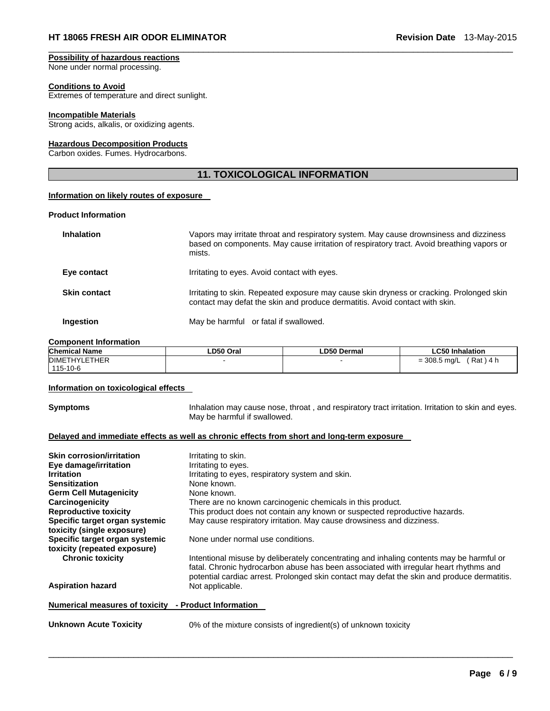#### **Possibility of hazardous reactions**  None under normal processing.

#### **Conditions to Avoid**

Extremes of temperature and direct sunlight.

#### **Incompatible Materials**

Strong acids, alkalis, or oxidizing agents.

#### **Hazardous Decomposition Products**

Carbon oxides. Fumes. Hydrocarbons.

# **11. TOXICOLOGICAL INFORMATION**

 $\Box$ 

#### **Information on likely routes of exposure**

#### **Product Information**

| <b>Inhalation</b>   | Vapors may irritate throat and respiratory system. May cause drownsiness and dizziness<br>based on components. May cause irritation of respiratory tract. Avoid breathing vapors or<br>mists. |
|---------------------|-----------------------------------------------------------------------------------------------------------------------------------------------------------------------------------------------|
| Eye contact         | Irritating to eyes. Avoid contact with eyes.                                                                                                                                                  |
| <b>Skin contact</b> | Irritating to skin. Repeated exposure may cause skin dryness or cracking. Prolonged skin<br>contact may defat the skin and produce dermatitis. Avoid contact with skin.                       |
| Ingestion           | May be harmful or fatal if swallowed.                                                                                                                                                         |

#### **Component Information**

| <b>Chemical Name</b> | LD50 Oral | ∟D50 Dermal | <b>LC50 Inhalation</b>         |
|----------------------|-----------|-------------|--------------------------------|
| <b>DIMETHYLETHER</b> |           |             | Rat<br>$= 308.5$ mg/L<br>\ 4 h |
| 115-10-6             |           |             |                                |

#### **Information on toxicological effects**

**Symptoms Inhalation may cause nose, throat**, and respiratory tract irritation. Irritation to skin and eyes. May be harmful if swallowed.

#### **Delayed and immediate effects as well as chronic effects from short and long-term exposure**

| <b>Skin corrosion/irritation</b>                     | Irritating to skin.                                                                                                                                                                                                                                                              |
|------------------------------------------------------|----------------------------------------------------------------------------------------------------------------------------------------------------------------------------------------------------------------------------------------------------------------------------------|
| Eye damage/irritation                                | Irritating to eyes.                                                                                                                                                                                                                                                              |
| <b>Irritation</b>                                    | Irritating to eyes, respiratory system and skin.                                                                                                                                                                                                                                 |
| <b>Sensitization</b>                                 | None known.                                                                                                                                                                                                                                                                      |
| <b>Germ Cell Mutagenicity</b>                        | None known.                                                                                                                                                                                                                                                                      |
| Carcinogenicity                                      | There are no known carcinogenic chemicals in this product.                                                                                                                                                                                                                       |
| <b>Reproductive toxicity</b>                         | This product does not contain any known or suspected reproductive hazards.                                                                                                                                                                                                       |
| Specific target organ systemic                       | May cause respiratory irritation. May cause drowsiness and dizziness.                                                                                                                                                                                                            |
| toxicity (single exposure)                           |                                                                                                                                                                                                                                                                                  |
| Specific target organ systemic                       | None under normal use conditions.                                                                                                                                                                                                                                                |
| toxicity (repeated exposure)                         |                                                                                                                                                                                                                                                                                  |
| <b>Chronic toxicity</b>                              | Intentional misuse by deliberately concentrating and inhaling contents may be harmful or<br>fatal. Chronic hydrocarbon abuse has been associated with irregular heart rhythms and<br>potential cardiac arrest. Prolonged skin contact may defat the skin and produce dermatitis. |
| <b>Aspiration hazard</b>                             | Not applicable.                                                                                                                                                                                                                                                                  |
| Numerical measures of toxicity - Product Information |                                                                                                                                                                                                                                                                                  |

 $\Box$ 

**Unknown Acute Toxicity** 0% of the mixture consists of ingredient(s) of unknown toxicity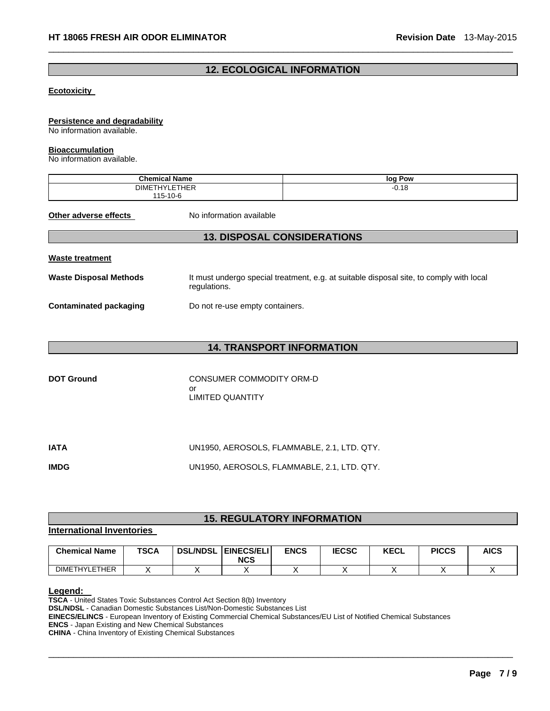# **12. ECOLOGICAL INFORMATION**

 $\Box$ 

#### **Ecotoxicity**

#### **Persistence and degradability**

No information available.

#### **Bioaccumulation**

No information available.

| - - -<br><b>Chemi</b><br>ame                              | . Pow<br>log          |
|-----------------------------------------------------------|-----------------------|
| $F \tau$ $F \tau$<br><b>DIME</b><br>$\cdots$<br>IHER<br>− | $\Delta$ O<br>$-U.10$ |
| $115 - 10$<br>10-r                                        |                       |

**Other adverse effects** No information available

# **13. DISPOSAL CONSIDERATIONS**

|--|

Waste Disposal Methods **It must undergo special treatment, e.g. at suitable disposal site, to comply with local** regulations.

**Contaminated packaging <br>Do not re-use empty containers.** 

# **14. TRANSPORT INFORMATION**

| <b>DOT Ground</b> | CONSUMER COMMODITY ORM-D |  |  |  |
|-------------------|--------------------------|--|--|--|
|                   | nr                       |  |  |  |
|                   | LIMITED QUANTITY         |  |  |  |

| <b>IATA</b> | UN1950, AEROSOLS, FLAMMABLE, 2.1, LTD, QTY, |
|-------------|---------------------------------------------|
| <b>IMDG</b> | UN1950, AEROSOLS, FLAMMABLE, 2.1, LTD, QTY, |

# **15. REGULATORY INFORMATION**

#### **International Inventories**

| <b>Chemical Name</b> | <b>TSCA</b> | <b>DSL/NDSL</b> | <b>EINECS/ELI</b><br><b>NCS</b> | <b>ENCS</b> | <b>IECSC</b> | <b>KECL</b> | <b>PICCS</b> | <b>AICS</b> |
|----------------------|-------------|-----------------|---------------------------------|-------------|--------------|-------------|--------------|-------------|
| <b>DIMETHYLETHER</b> |             |                 |                                 |             |              |             |              |             |

 $\Box$ 

**Legend: TSCA** - United States Toxic Substances Control Act Section 8(b) Inventory

**DSL/NDSL** - Canadian Domestic Substances List/Non-Domestic Substances List

**EINECS/ELINCS** - European Inventory of Existing Commercial Chemical Substances/EU List of Notified Chemical Substances

**ENCS** - Japan Existing and New Chemical Substances

**CHINA** - China Inventory of Existing Chemical Substances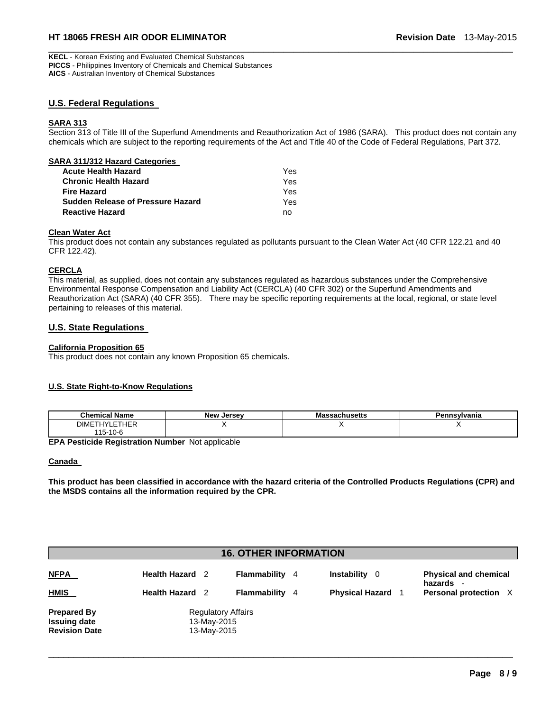### **HT 18065 FRESH AIR ODOR ELIMINATOR Revision Date** 13-May-2015

**KECL** - Korean Existing and Evaluated Chemical Substances **PICCS** - Philippines Inventory of Chemicals and Chemical Substances **AICS** - Australian Inventory of Chemical Substances

### **U.S. Federal Regulations**

#### **SARA 313**

Section 313 of Title III of the Superfund Amendments and Reauthorization Act of 1986 (SARA). This product does not contain any chemicals which are subject to the reporting requirements of the Act and Title 40 of the Code of Federal Regulations, Part 372.

 $\Box$ 

| SARA 311/312 Hazard Categories           |     |
|------------------------------------------|-----|
| <b>Acute Health Hazard</b>               | Yes |
| <b>Chronic Health Hazard</b>             | Yes |
| <b>Fire Hazard</b>                       | Yes |
| <b>Sudden Release of Pressure Hazard</b> | Yes |
| <b>Reactive Hazard</b>                   | nn  |

#### **Clean Water Act**

This product does not contain any substances regulated as pollutants pursuant to the Clean Water Act (40 CFR 122.21 and 40 CFR 122.42).

#### **CERCLA**

This material, as supplied, does not contain any substances regulated as hazardous substances under the Comprehensive Environmental Response Compensation and Liability Act (CERCLA) (40 CFR 302) or the Superfund Amendments and Reauthorization Act (SARA) (40 CFR 355). There may be specific reporting requirements at the local, regional, or state level pertaining to releases of this material.

#### **U.S. State Regulations**

#### **California Proposition 65**

This product does not contain any known Proposition 65 chemicals.

#### **U.S. State Right-to-Know Regulations**

| $ -$<br>Chemical<br>' Name                             | <b>New Jersey</b> | ารรachusetts<br>massa | Pennsvlvania |
|--------------------------------------------------------|-------------------|-----------------------|--------------|
| $-$<br>$\mathbf{a}$<br><b>DIME</b><br>$-1$<br>ньк<br>. |                   |                       |              |
| $\overline{a}$<br>$15 - 10 - 6$                        |                   |                       |              |

**EPA Pesticide Registration Number** Not applicable

#### **Canada**

**This product has been classified in accordance with the hazard criteria of the Controlled Products Regulations (CPR) and the MSDS contains all the information required by the CPR.** 

### **16. OTHER INFORMATION**

| <b>NFPA</b><br><b>HMIS</b>                                        | <b>Health Hazard</b> 2<br><b>Health Hazard</b> 2        | Flammability<br>Flammability | 4 | <b>Instability</b><br>0<br><b>Physical Hazard</b> | <b>Physical and chemical</b><br>hazards<br>Personal protection X |
|-------------------------------------------------------------------|---------------------------------------------------------|------------------------------|---|---------------------------------------------------|------------------------------------------------------------------|
| <b>Prepared By</b><br><b>Issuing date</b><br><b>Revision Date</b> | <b>Regulatory Affairs</b><br>13-May-2015<br>13-May-2015 |                              |   |                                                   |                                                                  |